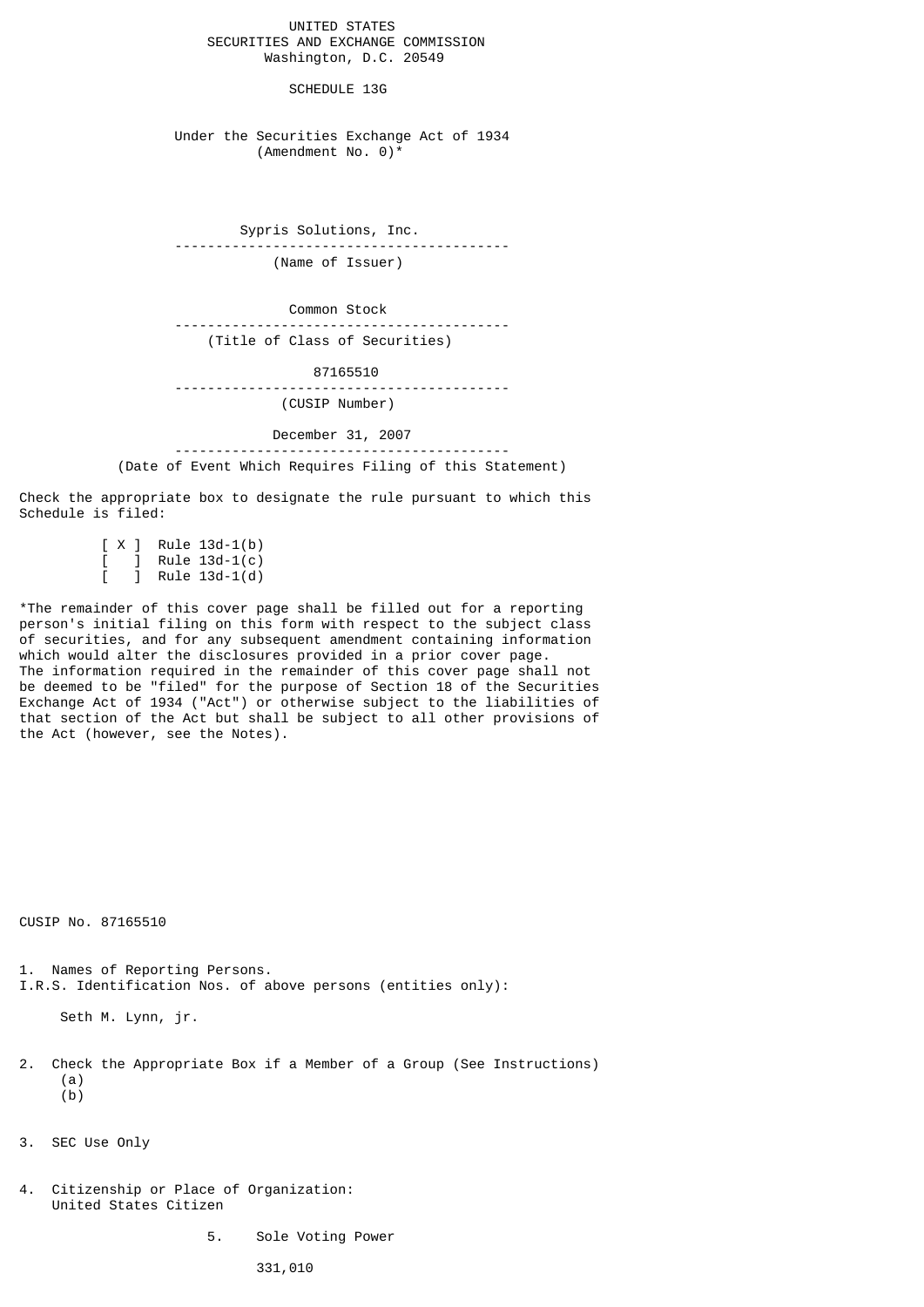UNITED STATES SECURITIES AND EXCHANGE COMMISSION Washington, D.C. 20549

SCHEDULE 13G

 Under the Securities Exchange Act of 1934 (Amendment No. 0)\*

 Sypris Solutions, Inc. ----------------------------------------- (Name of Issuer)

 Common Stock -----------------------------------------

(Title of Class of Securities)

 87165510 -----------------------------------------

(CUSIP Number)

 December 31, 2007 ----------------------------------------- (Date of Event Which Requires Filing of this Statement)

Check the appropriate box to designate the rule pursuant to which this Schedule is filed:

> $[X]$  Rule 13d-1(b)  $Rule 13d-1(c)$  $\overline{1}$  Rule 13d-1(d)

\*The remainder of this cover page shall be filled out for a reporting person's initial filing on this form with respect to the subject class of securities, and for any subsequent amendment containing information which would alter the disclosures provided in a prior cover page. The information required in the remainder of this cover page shall not be deemed to be "filed" for the purpose of Section 18 of the Securities Exchange Act of 1934 ("Act") or otherwise subject to the liabilities of that section of the Act but shall be subject to all other provisions of the Act (however, see the Notes).

CUSIP No. 87165510

1. Names of Reporting Persons. I.R.S. Identification Nos. of above persons (entities only):

Seth M. Lynn, jr.

- 2. Check the Appropriate Box if a Member of a Group (See Instructions) (a)  $(b)$
- 3. SEC Use Only
- 4. Citizenship or Place of Organization: United States Citizen
	- 5. Sole Voting Power

331,010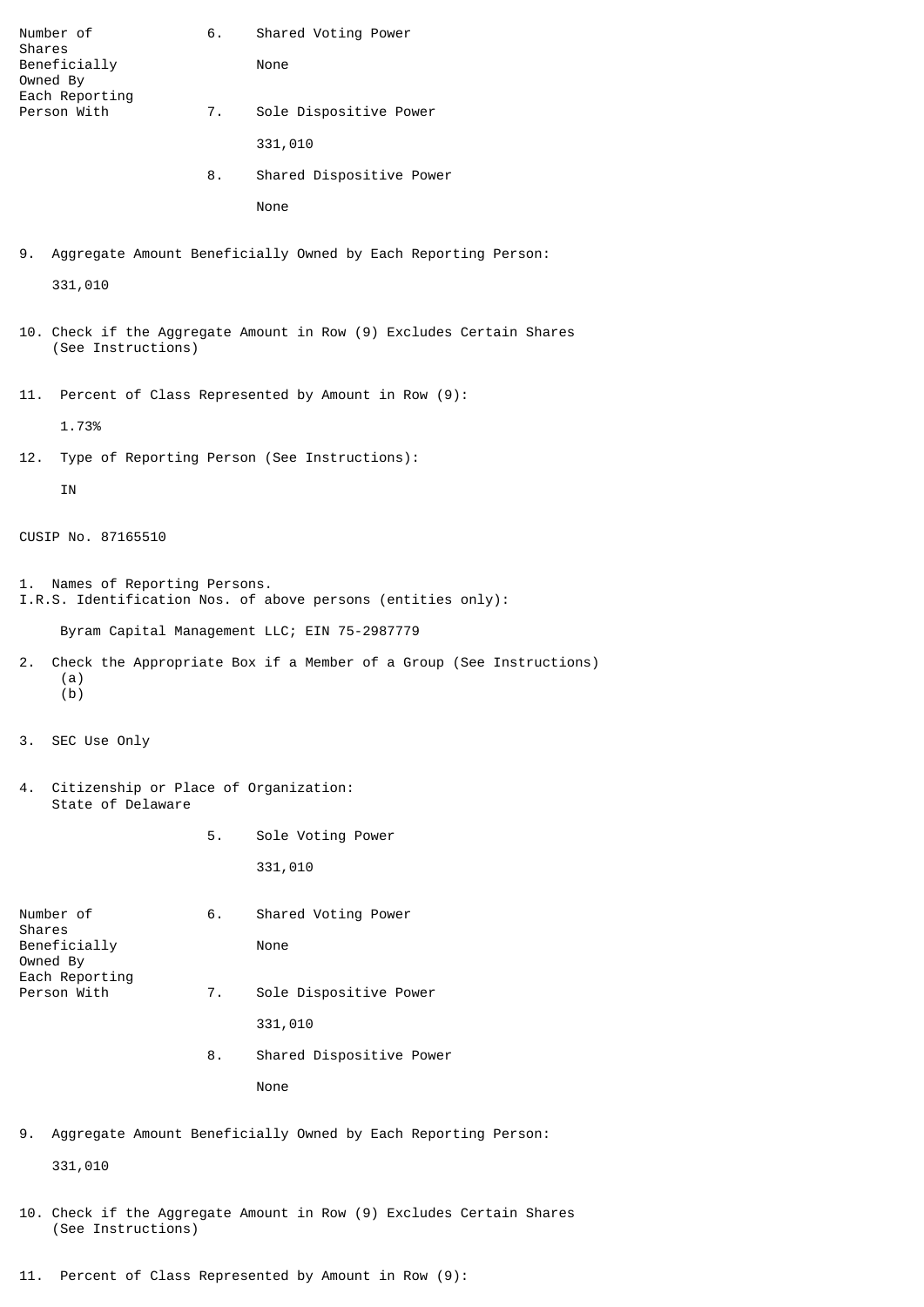| Number of                                                                                         | 6. | Shared Voting Power      |
|---------------------------------------------------------------------------------------------------|----|--------------------------|
| Shares<br>Beneficially                                                                            |    | None                     |
| Owned By<br>Each Reporting                                                                        |    |                          |
| Person With                                                                                       | 7. | Sole Dispositive Power   |
|                                                                                                   |    | 331,010                  |
|                                                                                                   | 8. | Shared Dispositive Power |
|                                                                                                   |    | None                     |
|                                                                                                   |    |                          |
| Aggregate Amount Beneficially Owned by Each Reporting Person:<br>9.                               |    |                          |
| 331,010                                                                                           |    |                          |
| 10. Check if the Aggregate Amount in Row (9) Excludes Certain Shares<br>(See Instructions)        |    |                          |
| Percent of Class Represented by Amount in Row (9):<br>11.                                         |    |                          |
| 1.73%                                                                                             |    |                          |
| Type of Reporting Person (See Instructions):<br>12.                                               |    |                          |
| IN                                                                                                |    |                          |
|                                                                                                   |    |                          |
| CUSIP No. 87165510                                                                                |    |                          |
| Names of Reporting Persons.<br>1.<br>I.R.S. Identification Nos. of above persons (entities only): |    |                          |
| Byram Capital Management LLC; EIN 75-2987779                                                      |    |                          |
| Check the Appropriate Box if a Member of a Group (See Instructions)<br>2.<br>(a)<br>(b)           |    |                          |
| SEC Use Only<br>З.                                                                                |    |                          |
| 4.<br>Citizenship or Place of Organization:<br>State of Delaware                                  |    |                          |
|                                                                                                   | 5. | Sole Voting Power        |
|                                                                                                   |    | 331,010                  |
| Number of                                                                                         | 6. | Shared Voting Power      |
| Shares                                                                                            |    |                          |
| Beneficially<br>Owned By                                                                          |    | None                     |

- Each Reporting Person With 7. Sole Dispositive Power
	- 331,010
	- 8. Shared Dispositive Power None
- 9. Aggregate Amount Beneficially Owned by Each Reporting Person:

331,010

- 10. Check if the Aggregate Amount in Row (9) Excludes Certain Shares (See Instructions)
- 11. Percent of Class Represented by Amount in Row (9):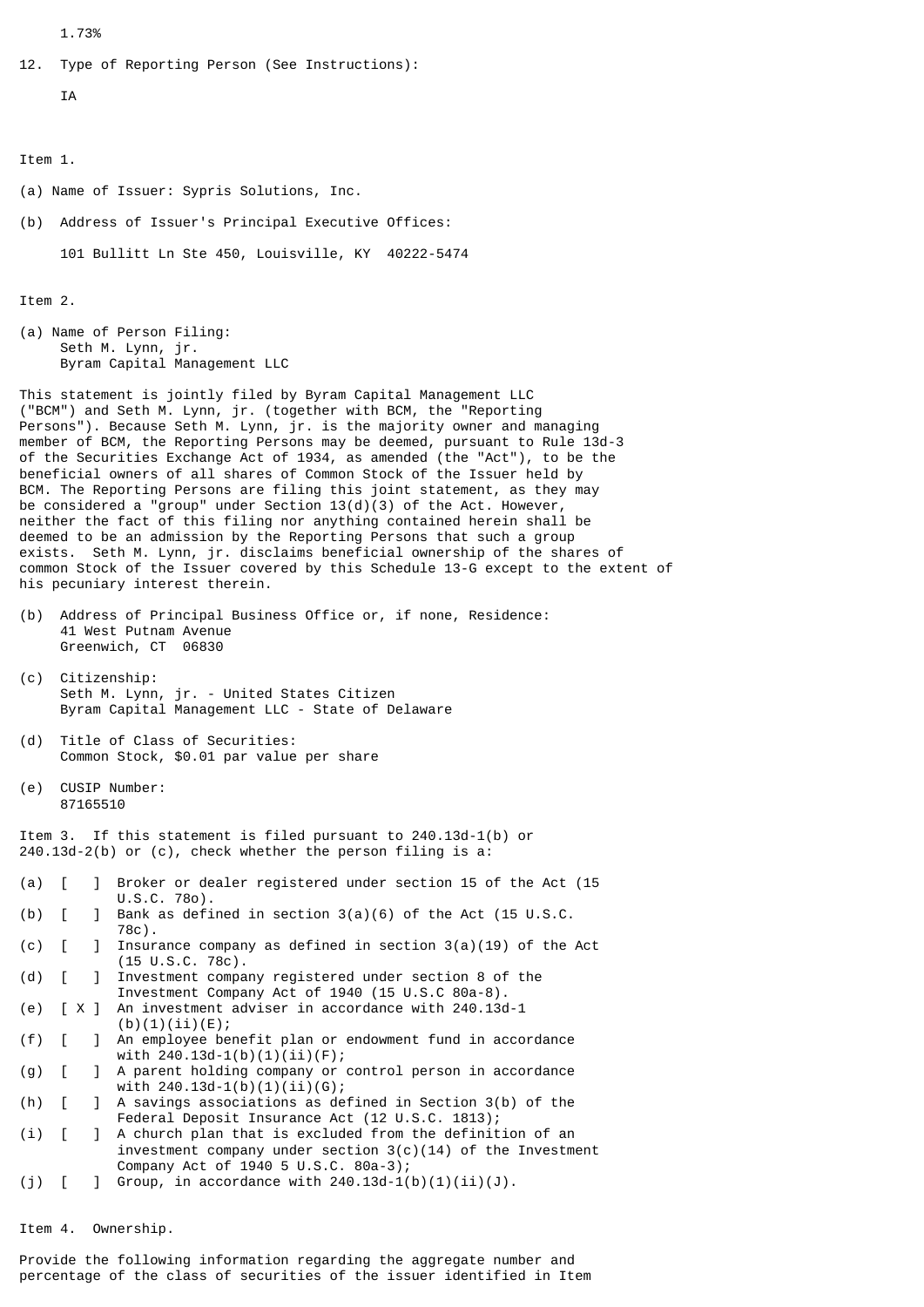1.73%

```
12. Type of Reporting Person (See Instructions):
```

```
 IA
```
Item 1.

- (a) Name of Issuer: Sypris Solutions, Inc.
- (b) Address of Issuer's Principal Executive Offices:

101 Bullitt Ln Ste 450, Louisville, KY 40222-5474

Item 2.

(a) Name of Person Filing: Seth M. Lynn, jr. Byram Capital Management LLC

This statement is jointly filed by Byram Capital Management LLC ("BCM") and Seth M. Lynn, jr. (together with BCM, the "Reporting Persons"). Because Seth M. Lynn, jr. is the majority owner and managing member of BCM, the Reporting Persons may be deemed, pursuant to Rule 13d-3 of the Securities Exchange Act of 1934, as amended (the "Act"), to be the beneficial owners of all shares of Common Stock of the Issuer held by BCM. The Reporting Persons are filing this joint statement, as they may be considered a "group" under Section  $13(d)(3)$  of the Act. However, neither the fact of this filing nor anything contained herein shall be deemed to be an admission by the Reporting Persons that such a group exists. Seth M. Lynn, jr. disclaims beneficial ownership of the shares of common Stock of the Issuer covered by this Schedule 13-G except to the extent of his pecuniary interest therein.

- (b) Address of Principal Business Office or, if none, Residence: 41 West Putnam Avenue Greenwich, CT 06830
- (c) Citizenship: Seth M. Lynn, jr. - United States Citizen Byram Capital Management LLC - State of Delaware
- (d) Title of Class of Securities: Common Stock, \$0.01 par value per share
- (e) CUSIP Number: 87165510

Item 3. If this statement is filed pursuant to 240.13d-1(b) or 240.13d-2(b) or (c), check whether the person filing is a:

- (a) [ ] Broker or dealer registered under section 15 of the Act (15 U.S.C. 78o).
- (b)  $\begin{bmatrix} 1 & 1 \end{bmatrix}$  Bank as defined in section 3(a)(6) of the Act (15 U.S.C. 78c).
- (c) [ ] Insurance company as defined in section 3(a)(19) of the Act (15 U.S.C. 78c).<br>(d) [ ] Investment compa
- ] Investment company registered under section 8 of the Investment Company Act of 1940 (15 U.S.C 80a-8).<br>[ X ] An investment adviser in accordance with 240.13c
- (e) [ X ] An investment adviser in accordance with 240.13d-1  $(b)(1)(ii)(E);$
- (f) [ ] An employee benefit plan or endowment fund in accordance with 240.13d-1(b)(1)(ii)(F);
- (g) [ ] A parent holding company or control person in accordance with  $240.13d-1(b)(1)(ii)(G);$ <br>(h)  $\begin{bmatrix} 1 & A &$  savings associations as de
- $\overline{h}$  A savings associations as defined in Section 3(b) of the Federal Deposit Insurance Act (12 U.S.C. 1813);
- (i) [ ] A church plan that is excluded from the definition of an investment company under section 3(c)(14) of the Investment Company Act of 1940 5 U.S.C. 80a-3)<br>[7] Group, in accordance with 240.13d-1
- (j)  $[ ]$  Group, in accordance with 240.13d-1(b)(1)(ii)(J).

Item 4. Ownership.

Provide the following information regarding the aggregate number and percentage of the class of securities of the issuer identified in Item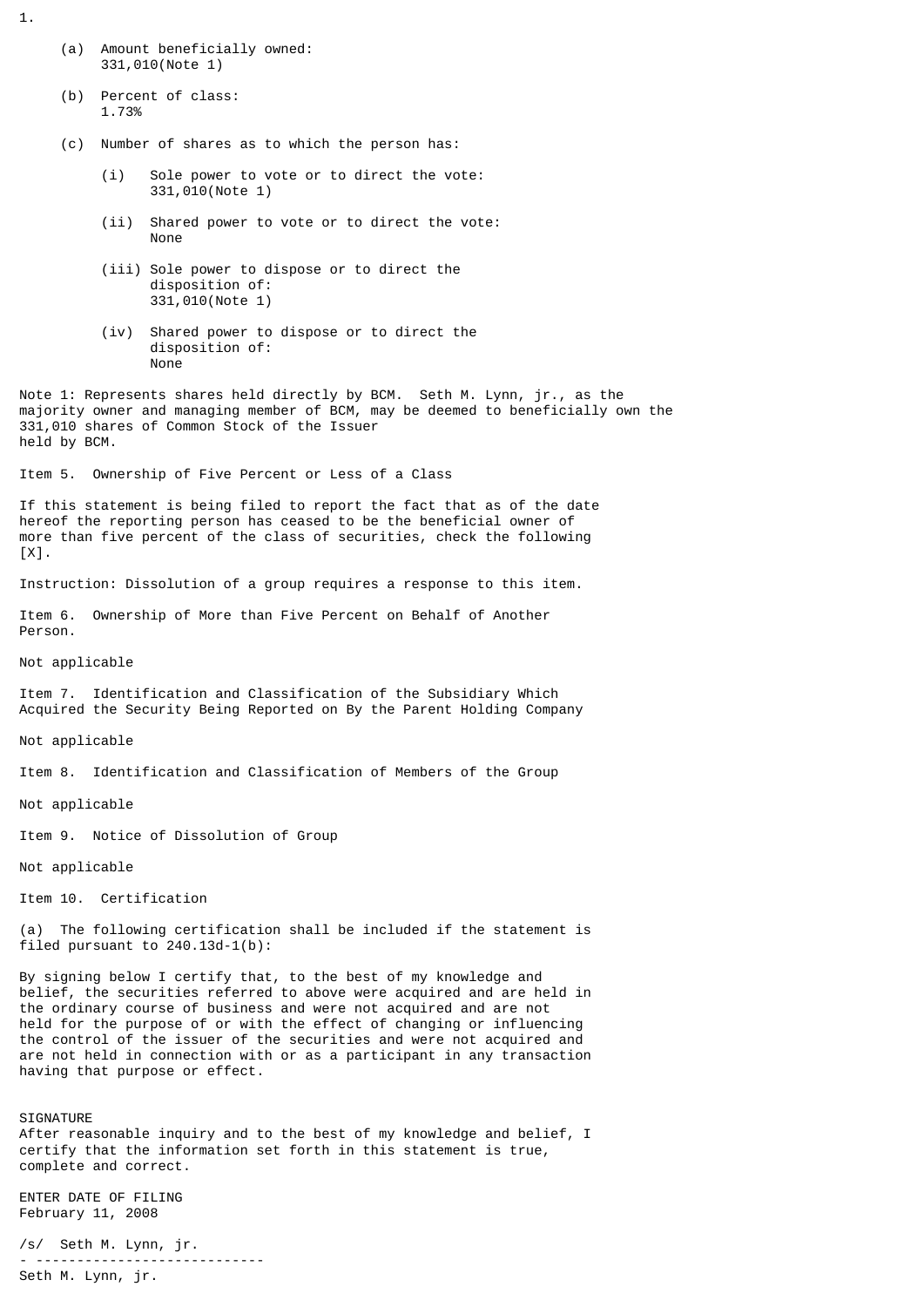- (a) Amount beneficially owned: 331,010(Note 1)
- (b) Percent of class: 1.73%
- (c) Number of shares as to which the person has:
	- (i) Sole power to vote or to direct the vote: 331,010(Note 1)
	- (ii) Shared power to vote or to direct the vote: None
	- (iii) Sole power to dispose or to direct the disposition of: 331,010(Note 1)
	- (iv) Shared power to dispose or to direct the disposition of: None

Note 1: Represents shares held directly by BCM. Seth M. Lynn, jr., as the majority owner and managing member of BCM, may be deemed to beneficially own the 331,010 shares of Common Stock of the Issuer held by BCM.

Item 5. Ownership of Five Percent or Less of a Class

If this statement is being filed to report the fact that as of the date hereof the reporting person has ceased to be the beneficial owner of more than five percent of the class of securities, check the following [X].

Instruction: Dissolution of a group requires a response to this item.

Item 6. Ownership of More than Five Percent on Behalf of Another Person.

Not applicable

Item 7. Identification and Classification of the Subsidiary Which Acquired the Security Being Reported on By the Parent Holding Company

Not applicable

Item 8. Identification and Classification of Members of the Group

Not applicable

Item 9. Notice of Dissolution of Group

Not applicable

Item 10. Certification

(a) The following certification shall be included if the statement is filed pursuant to 240.13d-1(b):

By signing below I certify that, to the best of my knowledge and belief, the securities referred to above were acquired and are held in the ordinary course of business and were not acquired and are not held for the purpose of or with the effect of changing or influencing the control of the issuer of the securities and were not acquired and are not held in connection with or as a participant in any transaction having that purpose or effect.

**STGNATURE** After reasonable inquiry and to the best of my knowledge and belief, I certify that the information set forth in this statement is true, complete and correct.

ENTER DATE OF FILING February 11, 2008

/s/ Seth M. Lynn, jr. - ---------------------------- Seth M. Lynn, jr.

1.